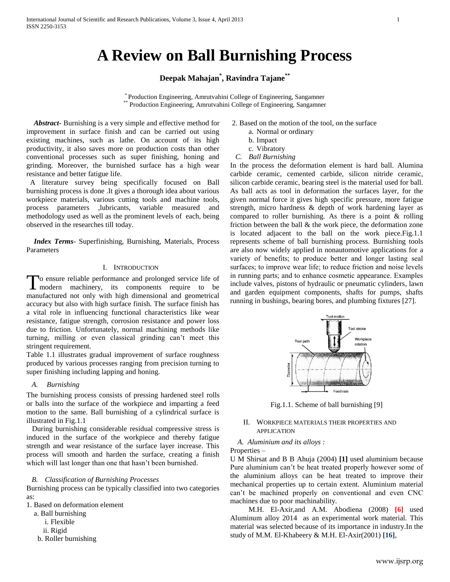# **A Review on Ball Burnishing Process**

## **Deepak Mahajan\* , Ravindra Tajane\*\***

\* Production Engineering, Amrutvahini College of Engineering, Sangamner \*\* Production Engineering, Amrutvahini College of Engineering, Sangamner

 *Abstract***-** Burnishing is a very simple and effective method for improvement in surface finish and can be carried out using existing machines, such as lathe. On account of its high productivity, it also saves more on production costs than other conventional processes such as super finishing, honing and grinding. Moreover, the burnished surface has a high wear resistance and better fatigue life.

 A literature survey being specifically focused on Ball burnishing process is done .It gives a thorough idea about various workpiece materials, various cutting tools and machine tools, process parameters ,lubricants, variable measured and methodology used as well as the prominent levels of each, being observed in the researches till today.

 *Index Terms*- Superfinishing, Burnishing, Materials, Process Parameters

### I. INTRODUCTION

o ensure reliable performance and prolonged service life of To ensure reliable performance and prolonged service life of modern machinery, its components require to be manufactured not only with high dimensional and geometrical accuracy but also with high surface finish. The surface finish has a vital role in influencing functional characteristics like wear resistance, fatigue strength, corrosion resistance and power loss due to friction. Unfortunately, normal machining methods like turning, milling or even classical grinding can't meet this stringent requirement.

Table 1.1 illustrates gradual improvement of surface roughness produced by various processes ranging from precision turning to super finishing including lapping and honing.

## *A. Burnishing*

The burnishing process consists of pressing hardened steel rolls or balls into the surface of the workpiece and imparting a feed motion to the same. Ball burnishing of a cylindrical surface is illustrated in Fig.1.1

 During burnishing considerable residual compressive stress is induced in the surface of the workpiece and thereby fatigue strength and wear resistance of the surface layer increase. This process will smooth and harden the surface, creating a finish which will last longer than one that hasn't been burnished.

#### *B. Classification of Burnishing Processes*

Burnishing process can be typically classified into two categories as:

1. Based on deformation element

- a. Ball burnishing
	- i. Flexible
	- ii. Rigid
- b. Roller burnishing
- 2. Based on the motion of the tool, on the surface
	- a. Normal or ordinary
	- b. Impact
	- c. Vibratory
- *C. Ball Burnishing*

In the process the deformation element is hard ball. Alumina carbide ceramic, cemented carbide, silicon nitride ceramic, silicon carbide ceramic, bearing steel is the material used for ball. As ball acts as tool in deformation the surfaces layer, for the given normal force it gives high specific pressure, more fatigue strength, micro hardness & depth of work hardening layer as compared to roller burnishing. As there is a point & rolling friction between the ball & the work piece, the deformation zone is located adjacent to the ball on the work piece.Fig.1.1 represents scheme of ball burnishing process. Burnishing tools are also now widely applied in nonautomotive applications for a variety of benefits; to produce better and longer lasting seal surfaces; to improve wear life; to reduce friction and noise levels in running parts; and to enhance cosmetic appearance. Examples include valves, pistons of hydraulic or pneumatic cylinders, lawn and garden equipment components, shafts for pumps, shafts running in bushings, bearing bores, and plumbing fixtures [27].



Fig.1.1. Scheme of ball burnishing [9]

## II. WORKPIECE MATERIALS THEIR PROPERTIES AND APPLICATION

*A. Aluminium and its alloys :*

Properties –

U M Shirsat and B B Ahuja (2004) **[1]** used aluminium because Pure aluminium can't be heat treated properly however some of the aluminium alloys can be heat treated to improve their mechanical properties up to certain extent. Aluminium material can't be machined properly on conventional and even CNC machines due to poor machinability.

 M.H. El-Axir,and A.M. Abodiena (2008) **[6]** used Aluminum alloy 2014 as an experimental work material. This material was selected because of its importance in industry.In the study of M.M. El-Khabeery & M.H. El-Axir(2001) **[16]**,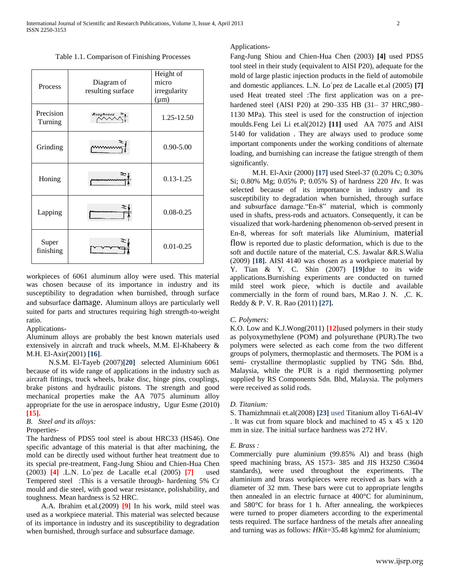Table 1.1. Comparison of Finishing Processes

| Process              | Diagram of<br>resulting surface | Height of<br>micro<br>irregularity<br>$(\mu m)$ |
|----------------------|---------------------------------|-------------------------------------------------|
| Precision<br>Turning | Roughness                       | 1.25-12.50                                      |
| Grinding             |                                 | $0.90 - 5.00$                                   |
| Honing               |                                 | $0.13 - 1.25$                                   |
| Lapping              |                                 | $0.08 - 0.25$                                   |
| Super<br>finishing   |                                 | $0.01 - 0.25$                                   |

workpieces of 6061 aluminum alloy were used. This material was chosen because of its importance in industry and its susceptibility to degradation when burnished, through surface and subsurface damage. Aluminum alloys are particularly well suited for parts and structures requiring high strength-to-weight ratio.

### Applications-

Aluminum alloys are probably the best known materials used extensively in aircraft and truck wheels, M.M. El-Khabeery & M.H. El-Axir(2001) **[16]**.

 N.S.M. El-Tayeb (2007)**[20]** selected Aluminium 6061 because of its wide range of applications in the industry such as aircraft fittings, truck wheels, brake disc, hinge pins, couplings, brake pistons and hydraulic pistons. The strength and good mechanical properties make the AA 7075 aluminum alloy appropriate for the use in aerospace industry, Ugur Esme (2010) **[15].**

## *B. Steel and its alloys:*

## Properties-

The hardness of PDS5 tool steel is about HRC33 (HS46). One specific advantage of this material is that after machining, the mold can be directly used without further heat treatment due to its special pre-treatment, Fang-Jung Shiou and Chien-Hua Chen (2003) **[4]** .L.N. Lo´pez de Lacalle et.al (2005) **[7]** used Tempered steel :This is a versatile through- hardening 5% Cr mould and die steel, with good wear resistance, polishability, and toughness. Mean hardness is 52 HRC.

 A.A. Ibrahim et.al.(2009) **[9]** In his work, mild steel was used as a workpiece material. This material was selected because of its importance in industry and its susceptibility to degradation when burnished, through surface and subsurface damage.

## Applications-

Fang-Jung Shiou and Chien-Hua Chen (2003) **[4]** used PDS5 tool steel in their study (equivalent to AISI P20), adequate for the mold of large plastic injection products in the field of automobile and domestic appliances. L.N. Lo´pez de Lacalle et.al (2005) **[7]**  used Heat treated steel :The first application was on a prehardened steel (AISI P20) at 290–335 HB (31– 37 HRC,980– 1130 MPa). This steel is used for the construction of injection moulds.Feng Lei Li et.al(2012) **[11]** used AA 7075 and AISI 5140 for validation . They are always used to produce some important components under the working conditions of alternate loading, and burnishing can increase the fatigue strength of them significantly.

 M.H. El-Axir (2000) **[17]** used Steel-37 (0.20% C; 0.30% Si; 0.80% Mg; 0.05% P; 0.05% S) of hardness 220 *H*v. It was selected because of its importance in industry and its susceptibility to degradation when burnished, through surface and subsurface damage."En-8" material, which is commonly used in shafts, press-rods and actuators. Consequently, it can be visualized that work-hardening phenomenon ob-served present in En-8, whereas for soft materials like Aluminium, material flow is reported due to plastic deformation, which is due to the soft and ductile nature of the material, C.S. Jawalar &R.S.Walia (2009) **[18].** AISI 4140 was chosen as a workpiece material by Y. Tian & Y. C. Shin (2007) **[19]**due to its wide applications.Burnishing experiments are conducted on turned mild steel work piece, which is ductile and available commercially in the form of round bars, M.Rao J. N. ,C. K. Reddy & P. V. R. Rao (2011) **[27].**

#### *C. Polymers:*

K.O. Low and K.J.Wong(2011) **[12]**used polymers in their study as polyoxymethylene (POM) and polyurethane (PUR).The two polymers were selected as each come from the two different groups of polymers, thermoplastic and thermosets. The POM is a semi- crystalline thermoplastic supplied by TNG Sdn. Bhd, Malaysia, while the PUR is a rigid thermosetting polymer supplied by RS Components Sdn. Bhd, Malaysia. The polymers were received as solid rods.

## *D. Titanium:*

S. Thamizhmnaii et.al(2008) **[23]** used Titanium alloy Ti-6Al-4V . It was cut from square block and machined to 45 x 45 x 120 mm in size. The initial surface hardness was 272 HV.

#### *E. Brass :*

Commercially pure aluminium (99.85% Al) and brass (high speed machining brass, AS 1573- 385 and JIS H3250 C3604 standards), were used throughout the experiments. The aluminium and brass workpieces were received as bars with a diameter of 32 mm. These bars were cut to appropriate lengths then annealed in an electric furnace at 400°C for alumininum, and 580°C for brass for 1 h. After annealing, the workpieces were turned to proper diameters according to the experimental tests required. The surface hardness of the metals after annealing and turning was as follows: *HK*it=35.48 kg/mm2 for aluminium;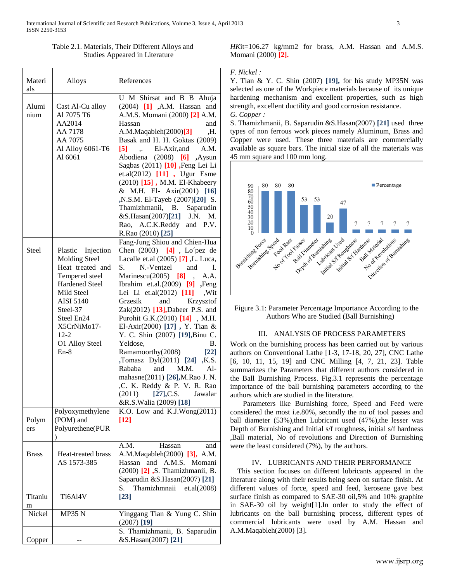| Table 2.1. Materials, Their Different Alloys and |
|--------------------------------------------------|
| Studies Appeared in Literature                   |

| Materi<br>als | Alloys                                                                                                                                                                                                                      | References                                                                                                                                                                                                                                                                                                                                                                                                                                                                                                                                                                                                                                                                          |
|---------------|-----------------------------------------------------------------------------------------------------------------------------------------------------------------------------------------------------------------------------|-------------------------------------------------------------------------------------------------------------------------------------------------------------------------------------------------------------------------------------------------------------------------------------------------------------------------------------------------------------------------------------------------------------------------------------------------------------------------------------------------------------------------------------------------------------------------------------------------------------------------------------------------------------------------------------|
| Alumi<br>nium | Cast Al-Cu alloy<br>Al 7075 T6<br>AA2014<br>AA 7178<br>AA 7075<br>Al Alloy 6061-T6<br>Al 6061                                                                                                                               | U M Shirsat and B B Ahuja<br>(2004) [1] ,A.M. Hassan and<br>A.M.S. Momani (2000) [2] A.M.<br>Hassan<br>and<br>A.M.Maqableh(2000)[3]<br>.H.<br>Basak and H. H. Goktas (2009)<br>El-Axir, and<br>A.M.<br>$\lbrack 5 \rbrack$<br>$\ddot{\phantom{a}}$<br>Abodiena<br>$(2008)$ [6]<br>,Aysun<br>Sagbas (2011) [10] , Feng Lei Li<br>et.al(2012) [11], Ugur Esme<br>(2010) [15], M.M. El-Khabeery<br>& M.H. El- Axir(2001) [16]<br>,N.S.M. El-Tayeb (2007)[20] S.<br>Thamizhmanii, B. Saparudin<br>&S.Hasan(2007)[21] J.N.<br>M.<br>Rao, A.C.K.Reddy and P.V.<br>R.Rao (2010) [25]                                                                                                       |
| <b>Steel</b>  | Plastic Injection<br><b>Molding Steel</b><br>Heat treated and<br>Tempered steel<br><b>Hardened Steel</b><br>Mild Steel<br><b>AISI 5140</b><br>Steel-37<br>Steel En24<br>X5CrNiMo17-<br>$12 - 2$<br>O1 Alloy Steel<br>$En-8$ | Fang-Jung Shiou and Chien-Hua<br>Chen (2003) [4], Lo'pez de<br>Lacalle et.al (2005) [7], L. Luca,<br>S.<br>N.-Ventzel<br>and<br>Ι.<br>Marinescu $(2005)$ [8],<br>A.A.<br>Ibrahim et.al. $(2009)$ [9] , Feng<br>Lei Li et.al(2012) [11] , Wit<br>Grzesik<br>and<br>Krzysztof<br>Zak $(2012)$ [13], Dabeer P.S. and<br>Purohit G.K.(2010) [14] , M.H.<br>El-Axir(2000) [17], Y. Tian &<br>Y. C. Shin (2007) [19], Binu C.<br>Yeldose,<br><b>B.</b><br>Ramamoorthy(2008)<br>$[22]$<br>,Tomasz Dyl(2011) [24] ,K.S.<br>Rababa<br>M.M.<br>$Al-$<br>and<br>mahasne(2011) [26], M. Rao J. N.<br>,C. K. Reddy & P. V. R. Rao<br>$(2011)$ $[27]$ , C.S.<br>Jawalar<br>&R.S.Walia (2009) [18] |
| Polym<br>ers  | Polyoxymethylene<br>(POM) and<br>Polyurethene(PUR<br>)                                                                                                                                                                      | K.O. Low and K.J.Wong(2011)<br>$[12]$                                                                                                                                                                                                                                                                                                                                                                                                                                                                                                                                                                                                                                               |
| <b>Brass</b>  | Heat-treated brass<br>AS 1573-385                                                                                                                                                                                           | A.M.<br>Hassan<br>and<br>A.M.Maqableh(2000) [3], A.M.<br>Hassan<br>and<br>A.M.S.<br>Momani<br>(2000) [2] , S. Thamizhmanii, B.<br>Saparudin &S.Hasan(2007) [21]                                                                                                                                                                                                                                                                                                                                                                                                                                                                                                                     |
| Titaniu<br>m  | Ti6Al4V                                                                                                                                                                                                                     | Thamizhmnaii<br>et.al(2008)<br>S.<br>$[23]$                                                                                                                                                                                                                                                                                                                                                                                                                                                                                                                                                                                                                                         |
| Nickel        | <b>MP35 N</b>                                                                                                                                                                                                               | Yinggang Tian & Yung C. Shin<br>$(2007)$ [19]                                                                                                                                                                                                                                                                                                                                                                                                                                                                                                                                                                                                                                       |
| Copper        |                                                                                                                                                                                                                             | S. Thamizhmanii, B. Saparudin<br>&S.Hasan(2007) [21]                                                                                                                                                                                                                                                                                                                                                                                                                                                                                                                                                                                                                                |

*HK*it=106.27 kg/mm2 for brass, A.M. Hassan and A.M.S. Momani (2000) **[2].**

## *F. Nickel :*

Y. Tian & Y. C. Shin (2007) **[19],** for his study MP35N was selected as one of the Workpiece materials because of its unique hardening mechanism and excellent properties, such as high strength, excellent ductility and good corrosion resistance. *G. Copper :*

S. Thamizhmanii, B. Saparudin &S.Hasan(2007) **[21]** used three types of non ferrous work pieces namely Aluminum, Brass and Copper were used. These three materials are commercially available as square bars. The initial size of all the materials was 45 mm square and 100 mm long.



Figure 3.1: Parameter Percentage Importance According to the Authors Who are Studied (Ball Burnishing)

## III. ANALYSIS OF PROCESS PARAMETERS

Work on the burnishing process has been carried out by various authors on Conventional Lathe [1-3, 17-18, 20, 27], CNC Lathe [6, 10, 11, 15, 19] and CNC Milling [4, 7, 21, 23]. Table summarizes the Parameters that different authors considered in the Ball Burnishing Process. Fig.3.1 represents the percentage importance of the ball burnishing parameters according to the authors which are studied in the literature.

 Parameters like Burnishing force, Speed and Feed were considered the most i.e.80%, secondly the no of tool passes and ball diameter (53%), then Lubricant used (47%), the lesser was Depth of Burnishing and Initial s/f roughness, initial s/f hardness ,Ball material, No of revolutions and Direction of Burnishing were the least considered (7%), by the authors.

## IV. LUBRICANTS AND THEIR PERFORMANCE

 This section focuses on different lubricants appeared in the literature along with their results being seen on surface finish. At different values of force, speed and feed, kerosene gave best surface finish as compared to SAE-30 oil,5% and 10% graphite in SAE-30 oil by weight[1].In order to study the effect of lubricants on the ball burnishing process, different types of commercial lubricants were used by A.M. Hassan and A.M.Maqableh(2000) [3].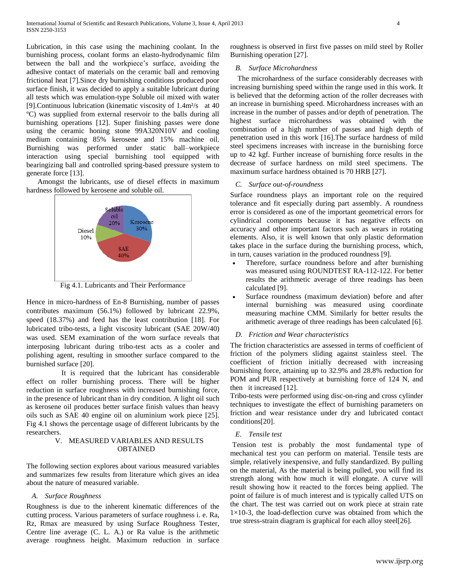Lubrication, in this case using the machining coolant. In the burnishing process, coolant forms an elasto-hydrodynamic film between the ball and the workpiece's surface, avoiding the adhesive contact of materials on the ceramic ball and removing frictional heat [7].Since dry burnishing conditions produced poor surface finish, it was decided to apply a suitable lubricant during all tests which was emulation-type Soluble oil mixed with water [9].Continuous lubrication (kinematic viscosity of 1.4m²/s at 40 ºC) was supplied from external reservoir to the balls during all burnishing operations [12]. Super finishing passes were done using the ceramic honing stone 99A320N10V and cooling medium containing 85% kerosene and 15% machine oil. Burnishing was performed under static ball–workpiece interaction using special burnishing tool equipped with bearingizing ball and controlled spring-based pressure system to generate force [13].

 Amongst the lubricants, use of diesel effects in maximum hardness followed by kerosene and soluble oil.



Fig 4.1. Lubricants and Their Performance

Hence in micro-hardness of En-8 Burnishing, number of passes contributes maximum (56.1%) followed by lubricant 22.9%, speed (18.37%) and feed has the least contribution [18]. For lubricated tribo-tests, a light viscosity lubricant (SAE 20W/40) was used. SEM examination of the worn surface reveals that interposing lubricant during tribo-test acts as a cooler and polishing agent, resulting in smoother surface compared to the burnished surface [20].

 It is required that the lubricant has considerable effect on roller burnishing process. There will be higher reduction in surface roughness with increased burnishing force, in the presence of lubricant than in dry condition. A light oil such as kerosene oil produces better surface finish values than heavy oils such as SAE 40 engine oil on aluminium work piece [25]. Fig 4.1 shows the percentage usage of different lubricants by the researchers.

## V. MEASURED VARIABLES AND RESULTS **OBTAINED**

The following section explores about various measured variables and summarizes few results from literature which gives an idea about the nature of measured variable.

## *A. Surface Roughness*

Roughness is due to the inherent kinematic differences of the cutting process. Various parameters of surface roughness i. e. Ra, Rz, Rmax are measured by using Surface Roughness Tester, Centre line average (C. L. A.) or Ra value is the arithmetic average roughness height. Maximum reduction in surface roughness is observed in first five passes on mild steel by Roller Burnishing operation [27].

## *B. Surface Microhardness*

The microhardness of the surface considerably decreases with increasing burnishing speed within the range used in this work. It is believed that the deforming action of the roller decreases with an increase in burnishing speed. Microhardness increases with an increase in the number of passes and/or depth of penetration. The highest surface microhardness was obtained with the combination of a high number of passes and high depth of penetration used in this work [16].The surface hardness of mild steel specimens increases with increase in the burnishing force up to 42 kgf. Further increase of burnishing force results in the decrease of surface hardness on mild steel specimens. The maximum surface hardness obtained is 70 HRB [27].

## *C. Surface out-of-roundness*

Surface roundness plays an important role on the required tolerance and fit especially during part assembly. A roundness error is considered as one of the important geometrical errors for cylindrical components because it has negative effects on accuracy and other important factors such as wears in rotating elements. Also, it is well known that only plastic deformation takes place in the surface during the burnishing process, which, in turn, causes variation in the produced roundness [9].

- Therefore, surface roundness before and after burnishing was measured using ROUNDTEST RA-112-122. For better results the arithmetic average of three readings has been calculated [9].
- Surface roundness (maximum deviation) before and after internal burnishing was measured using coordinate measuring machine CMM. Similarly for better results the arithmetic average of three readings has been calculated [6].

## *D. Friction and Wear characteristics*

The friction characteristics are assessed in terms of coefficient of friction of the polymers sliding against stainless steel. The coefficient of friction initially decreased with increasing burnishing force, attaining up to 32.9% and 28.8% reduction for POM and PUR respectively at burnishing force of 124 N, and then it increased [12].

Tribo-tests were performed using disc-on-ring and cross cylinder techniques to investigate the effect of burnishing parameters on friction and wear resistance under dry and lubricated contact conditions[20].

## *E. Tensile test*

Tension test is probably the most fundamental type of mechanical test you can perform on material. Tensile tests are simple, relatively inexpensive, and fully standardized. By pulling on the material, As the material is being pulled, you will find its strength along with how much it will elongate. A curve will result showing how it reacted to the forces being applied. The point of failure is of much interest and is typically called UTS on the chart. The test was carried out on work piece at strain rate  $1\times10-3$ , the load-deflection curve was obtained from which the true stress-strain diagram is graphical for each alloy steel[26].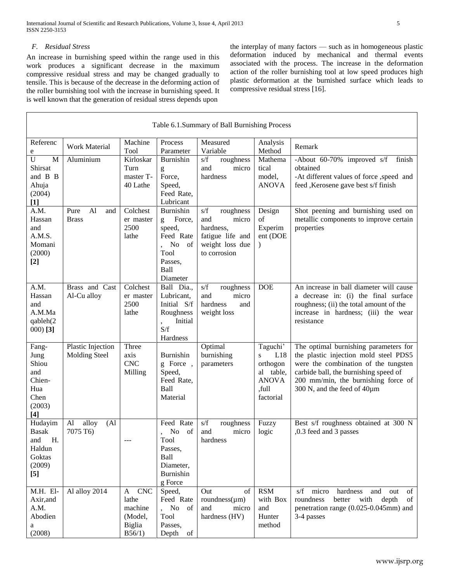## *F. Residual Stress*

Г

An increase in burnishing speed within the range used in this work produces a significant decrease in the maximum compressive residual stress and may be changed gradually to tensile. This is because of the decrease in the deforming action of the roller burnishing tool with the increase in burnishing speed. It is well known that the generation of residual stress depends upon

the interplay of many factors — such as in homogeneous plastic deformation induced by mechanical and thermal events associated with the process. The increase in the deformation action of the roller burnishing tool at low speed produces high plastic deformation at the burnished surface which leads to compressive residual stress [16].

| Table 6.1.Summary of Ball Burnishing Process                                           |                                               |                                                                           |                                                                                                             |                                                                                                      |                                                                                     |                                                                                                                                                                                                                                       |
|----------------------------------------------------------------------------------------|-----------------------------------------------|---------------------------------------------------------------------------|-------------------------------------------------------------------------------------------------------------|------------------------------------------------------------------------------------------------------|-------------------------------------------------------------------------------------|---------------------------------------------------------------------------------------------------------------------------------------------------------------------------------------------------------------------------------------|
| Referenc<br>e                                                                          | Work Material                                 | Machine<br>Tool                                                           | Process<br>Parameter                                                                                        | Measured<br>Variable                                                                                 | Analysis<br>Method                                                                  | Remark                                                                                                                                                                                                                                |
| $\mathbf U$<br>M<br>Shirsat<br>and B B<br>Ahuja<br>(2004)<br>$[1]$                     | Aluminium                                     | Kirloskar<br>Turn<br>master T-<br>40 Lathe                                | Burnishin<br>g<br>Force,<br>Speed,<br>Feed Rate,<br>Lubricant                                               | roughness<br>s/f<br>micro<br>and<br>hardness                                                         | Mathema<br>tical<br>model,<br><b>ANOVA</b>                                          | -About 60-70% improved s/f<br>finish<br>obtained<br>-At different values of force , speed and<br>feed ,Kerosene gave best s/f finish                                                                                                  |
| A.M.<br>Hassan<br>and<br>A.M.S.<br>Momani<br>(2000)<br>$[2]$                           | A <sub>1</sub><br>Pure<br>and<br><b>Brass</b> | Colchest<br>er master<br>2500<br>lathe                                    | <b>Burnishin</b><br>Force,<br>g<br>speed,<br>Feed Rate<br>No<br>- of<br>Tool<br>Passes,<br>Ball<br>Diameter | s/f<br>roughness<br>and<br>micro<br>hardness,<br>fatigue life and<br>weight loss due<br>to corrosion | Design<br>of<br>Experim<br>ent (DOE<br>$\lambda$                                    | Shot peening and burnishing used on<br>metallic components to improve certain<br>properties                                                                                                                                           |
| A.M.<br>Hassan<br>and<br>A.M.Ma<br>qableh(2<br>$000$ [3]                               | Brass and Cast<br>Al-Cu alloy                 | Colchest<br>er master<br>2500<br>lathe                                    | Ball Dia.,<br>Lubricant,<br>Initial S/f<br>Roughness<br>Initial<br>S/f<br>Hardness                          | s/f<br>roughness<br>micro<br>and<br>hardness<br>and<br>weight loss                                   | <b>DOE</b>                                                                          | An increase in ball diameter will cause<br>a decrease in: (i) the final surface<br>roughness; (ii) the total amount of the<br>increase in hardness; (iii) the wear<br>resistance                                                      |
| Fang-<br>Jung<br>Shiou<br>and<br>Chien-<br>Hua<br>Chen<br>(2003)<br>$[4]$              | Plastic Injection<br><b>Molding Steel</b>     | Three<br>axis<br><b>CNC</b><br>Milling                                    | Burnishin<br>g Force,<br>Speed,<br>Feed Rate,<br>Ball<br>Material                                           | Optimal<br>burnishing<br>parameters                                                                  | Taguchi'<br>L18<br>S<br>orthogon<br>al table,<br><b>ANOVA</b><br>full,<br>factorial | The optimal burnishing parameters for<br>the plastic injection mold steel PDS5<br>were the combination of the tungsten<br>carbide ball, the burnishing speed of<br>200 mm/min, the burnishing force of<br>300 N, and the feed of 40µm |
| Hudayim<br><b>Basak</b><br>H.<br>and<br>Haldun<br>Goktas<br>(2009)<br>$\left[5\right]$ | alloy<br>Al<br>(A <sub>1</sub> )<br>7075 T6)  | ---                                                                       | Feed Rate<br>No<br>of<br>Tool<br>Passes,<br>Ball<br>Diameter,<br><b>Burnishin</b><br>g Force                | s/f<br>roughness<br>and<br>micro<br>hardness                                                         | Fuzzy<br>logic                                                                      | Best s/f roughness obtained at 300 N<br>,0.3 feed and 3 passes                                                                                                                                                                        |
| M.H. El-<br>Axir, and<br>A.M.<br>Abodien<br>a<br>(2008)                                | Al alloy 2014                                 | <b>CNC</b><br>A<br>lathe<br>machine<br>(Model,<br><b>Biglia</b><br>B56/1) | Speed,<br>Feed Rate<br>, No of<br>Tool<br>Passes,<br>Depth<br>of                                            | Out<br>of<br>roundness $(\mu m)$<br>and<br>micro<br>hardness (HV)                                    | <b>RSM</b><br>with Box<br>and<br>Hunter<br>method                                   | s/f<br>micro<br>hardness<br>and<br>out<br>οf<br>better with<br>depth<br>roundness<br>of<br>penetration range (0.025-0.045mm) and<br>3-4 passes                                                                                        |

 $\mathcal{L}_{\mathcal{A}}$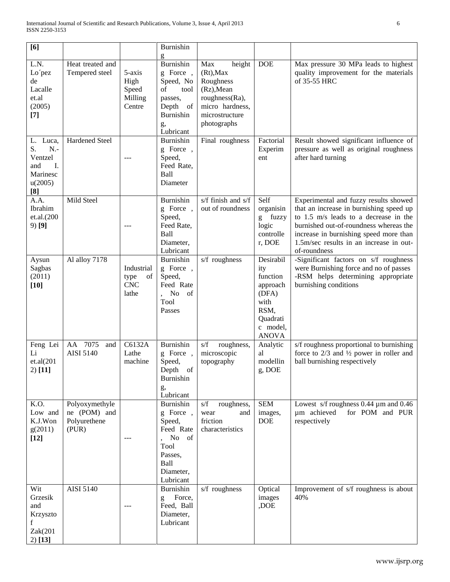| [6]                                                                           |                                                         |                                                 | Burnishin<br>g                                                                                                    |                                                                                                                                |                                                                                                           |                                                                                                                                                                                                                                                                          |
|-------------------------------------------------------------------------------|---------------------------------------------------------|-------------------------------------------------|-------------------------------------------------------------------------------------------------------------------|--------------------------------------------------------------------------------------------------------------------------------|-----------------------------------------------------------------------------------------------------------|--------------------------------------------------------------------------------------------------------------------------------------------------------------------------------------------------------------------------------------------------------------------------|
| L.N.<br>Lo'pez<br>de<br>Lacalle<br>et.al<br>(2005)<br>$[7]$                   | Heat treated and<br>Tempered steel                      | 5-axis<br>High<br>Speed<br>Milling<br>Centre    | Burnishin<br>g Force,<br>Speed, No<br>of<br>tool<br>passes,<br>Depth<br>of<br>Burnishin<br>g,<br>Lubricant        | Max<br>height<br>$(Rt)$ , Max<br>Roughness<br>(Rz), Mean<br>roughness(Ra),<br>micro hardness,<br>microstructure<br>photographs | <b>DOE</b>                                                                                                | Max pressure 30 MPa leads to highest<br>quality improvement for the materials<br>of 35-55 HRC                                                                                                                                                                            |
| L. Luca,<br>S.<br>$N -$<br>Ventzel<br>and<br>Ι.<br>Marinesc<br>u(2005)<br>[8] | Hardened Steel                                          | $---$                                           | Burnishin<br>g Force,<br>Speed,<br>Feed Rate,<br>Ball<br>Diameter                                                 | Final roughness                                                                                                                | Factorial<br>Experim<br>ent                                                                               | Result showed significant influence of<br>pressure as well as original roughness<br>after hard turning                                                                                                                                                                   |
| A.A.<br>Ibrahim<br>et.al.(200<br>$9)$ [9]                                     | Mild Steel                                              | ---                                             | Burnishin<br>g Force,<br>Speed,<br>Feed Rate,<br>Ball<br>Diameter,<br>Lubricant                                   | s/f finish and s/f<br>out of roundness                                                                                         | Self<br>organisin<br>g fuzzy<br>logic<br>controlle<br>r, DOE                                              | Experimental and fuzzy results showed<br>that an increase in burnishing speed up<br>to 1.5 m/s leads to a decrease in the<br>burnished out-of-roundness whereas the<br>increase in burnishing speed more than<br>1.5m/sec results in an increase in out-<br>of-roundness |
| Aysun<br>Sagbas<br>(2011)<br>$[10]$                                           | Al alloy 7178                                           | Industrial<br>of<br>type<br><b>CNC</b><br>lathe | Burnishin<br>g Force,<br>Speed,<br>Feed Rate<br>No of<br>Tool<br>Passes                                           | s/f roughness                                                                                                                  | Desirabil<br>ity<br>function<br>approach<br>(DFA)<br>with<br>RSM,<br>Quadrati<br>c model,<br><b>ANOVA</b> | -Significant factors on s/f roughness<br>were Burnishing force and no of passes<br>-RSM helps determining appropriate<br>burnishing conditions                                                                                                                           |
| Feng Lei<br>Li<br>et.al(201)<br>$2)$ [11]                                     | AA 7075<br>and<br><b>AISI 5140</b>                      | C6132A<br>Lathe<br>machine                      | Burnishin<br>g Force,<br>Speed,<br>Depth of<br>Burnishin<br>g,<br>Lubricant                                       | s/f<br>roughness,<br>microscopic<br>topography                                                                                 | Analytic<br>al<br>modellin<br>g, DOE                                                                      | s/f roughness proportional to burnishing<br>force to $2/3$ and $\frac{1}{2}$ power in roller and<br>ball burnishing respectively                                                                                                                                         |
| K.O.<br>Low and<br>K.J.Won<br>g(2011)<br>$[12]$                               | Polyoxymethyle<br>ne (POM) and<br>Polyurethene<br>(PUR) |                                                 | <b>Burnishin</b><br>g Force,<br>Speed,<br>Feed Rate<br>No of<br>Tool<br>Passes,<br>Ball<br>Diameter,<br>Lubricant | s/f<br>roughness,<br>wear<br>and<br>friction<br>characteristics                                                                | $\overline{\text{SEM}}$<br>images,<br><b>DOE</b>                                                          | Lowest s/f roughness $0.44 \mu m$ and $0.46$<br>um achieved<br>for POM and PUR<br>respectively                                                                                                                                                                           |
| Wit<br>Grzesik<br>and<br>Krzyszto<br>f<br>Zak(201<br>$2)$ [13]                | <b>AISI 5140</b>                                        |                                                 | Burnishin<br>Force,<br>g<br>Feed, Ball<br>Diameter,<br>Lubricant                                                  | s/f roughness                                                                                                                  | Optical<br>images<br>,DOE                                                                                 | Improvement of s/f roughness is about<br>40%                                                                                                                                                                                                                             |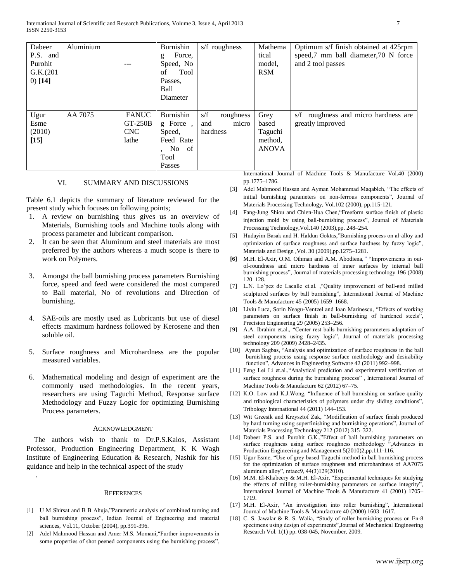| Dabeer<br>P.S. and<br>Purohit<br>G.K.(201)<br>$0)$ [14] | Aluminium | ---                                              | Burnishin<br>Force,<br>g<br>Speed, No<br>Tool<br>of<br>Passes.<br>Ball<br>Diameter | s/f roughness                                | Mathema<br>tical<br>model,<br><b>RSM</b>            | Optimum s/f finish obtained at 425rpm<br>speed,7 mm ball diameter,70 N force<br>and 2 tool passes |
|---------------------------------------------------------|-----------|--------------------------------------------------|------------------------------------------------------------------------------------|----------------------------------------------|-----------------------------------------------------|---------------------------------------------------------------------------------------------------|
| Ugur<br>Esme<br>(2010)<br>$[15]$                        | AA 7075   | <b>FANUC</b><br>$GT-250B$<br><b>CNC</b><br>lathe | Burnishin<br>g Force,<br>Speed,<br>Feed Rate<br>, No of<br>Tool<br>Passes          | s/f<br>roughness<br>micro<br>and<br>hardness | Grey<br>based<br>Taguchi<br>method.<br><b>ANOVA</b> | s/f roughness and micro hardness are<br>greatly improved<br>.<br>.<br>__ _ _ _ _ _                |

### VI. SUMMARY AND DISCUSSIONS

Table 6.1 depicts the summary of literature reviewed for the present study which focuses on following points;

- 1. A review on burnishing thus gives us an overview of Materials, Burnishing tools and Machine tools along with process parameter and lubricant comparison.
- 2. It can be seen that Aluminum and steel materials are most preferred by the authors whereas a much scope is there to work on Polymers.
- 3. Amongst the ball burnishing process parameters Burnishing force, speed and feed were considered the most compared to Ball material, No of revolutions and Direction of burnishing.
- 4. SAE-oils are mostly used as Lubricants but use of diesel effects maximum hardness followed by Kerosene and then soluble oil.
- 5. Surface roughness and Microhardness are the popular measured variables.
- 6. Mathematical modeling and design of experiment are the commonly used methodologies. In the recent years, researchers are using Taguchi Method, Response surface Methodology and Fuzzy Logic for optimizing Burnishing Process parameters.

#### ACKNOWLEDGMENT

The authors wish to thank to Dr.P.S.Kalos, Assistant Professor, Production Engineering Department, K K Wagh Institute of Engineering Education & Research, Nashik for his guidance and help in the technical aspect of the study

#### **REFERENCES**

.

- [1] U M Shirsat and B B Ahuja,"Parametric analysis of combined turning and ball burnishing process", Indian Journal of Engineering and material sciences, Vol.11, October (2004), pp.391-396.
- [2] Adel Mahmood Hassan and Amer M.S. Momani, "Further improvements in some properties of shot peened components using the burnishing process",

International Journal of Machine Tools & Manufacture Vol.40 (2000) pp.1775–1786.

- [3] Adel Mahmood Hassan and Ayman Mohammad Maqableh, "The effects of initial burnishing parameters on non-ferrous components", Journal of Materials Processing Technology, Vol.102 (2000), pp.115-121.
- [4] Fang-Jung Shiou and Chien-Hua Chen,"Freeform surface finish of plastic injection mold by using ball-burnishing process", Journal of Materials Processing Technology,Vol.140 (2003),pp. 248–254.
- [5] Hudayim Basak and H. Haldun Goktas,"Burnishing process on al-alloy and optimization of surface roughness and surface hardness by fuzzy logic", Materials and Design ,Vol. 30 (2009),pp.1275–1281.
- **[6]** M.H. El-Axir, O.M. Othman and A.M. Abodiena*,"* "Improvements in outof-roundness and micro hardness of inner surfaces by internal ball burnishing process", Journal of materials processing technology 196 (2008) 120–128.
- [7] L.N. Lo´pez de Lacalle et.al. ,"Quality improvement of ball-end milled sculptured surfaces by ball burnishing", International Journal of Machine Tools & Manufacture 45 (2005) 1659–1668.
- [8] Liviu Luca, Sorin Neagu-Ventzel and Ioan Marinescu, "Effects of working parameters on surface finish in ball-burnishing of hardened steels", Precision Engineering 29 (2005) 253–256.
- [9] A.A. Ibrahim et.al., "Center rest balls burnishing parameters adaptation of steel components using fuzzy logic", Journal of materials processing technology 209 (2009) 2428–2435.
- [10] Aysun Sagbas, "Analysis and optimization of surface roughness in the ball burnishing process using response surface methodology and desirability function", Advances in Engineering Software 42 (2011) 992–998.
- [11] Feng Lei Li et.al., "Analytical prediction and experimental verification of surface roughness during the burnishing process" , International Journal of Machine Tools & Manufacture 62 (2012) 67–75.
- [12] K.O. Low and K.J.Wong, "Influence of ball burnishing on surface quality and tribological characteristics of polymers under dry sliding conditions", Tribology International 44 (2011) 144–153.
- [13] Wit Grzesik and Krzysztof Zak, "Modification of surface finish produced by hard turning using superfinishing and burnishing operations", Journal of Materials Processing Technology 212 (2012) 315–322.
- [14] Dabeer P.S. and Purohit G.K.,"Effect of ball burnishing parameters on surface roughness using surface roughness methodology ", Advances in Production Engineering and Management 5(2010)2,pp.111-116.
- [15] Ugur Esme, "Use of grey based Taguchi method in ball burnishing process for the optimization of surface roughness and microhardness of AA7075 aluminum alloy", mtaec9, 44(3)129(2010).
- [16] M.M. El-Khabeery & M.H. El-Axir, "Experimental techniques for studying the effects of milling roller-burnishing parameters on surface integrity", International Journal of Machine Tools & Manufacture 41 (2001) 1705– 1719.
- [17] M.H. El-Axir, "An investigation into roller burnishing", International Journal of Machine Tools & Manufacture 40 (2000) 1603–1617.
- [18] C. S. Jawalar & R. S. Walia, "Study of roller burnishing process on En-8 specimens using design of experiments",Journal of Mechanical Engineering Research Vol. 1(1) pp. 038-045, November, 2009.